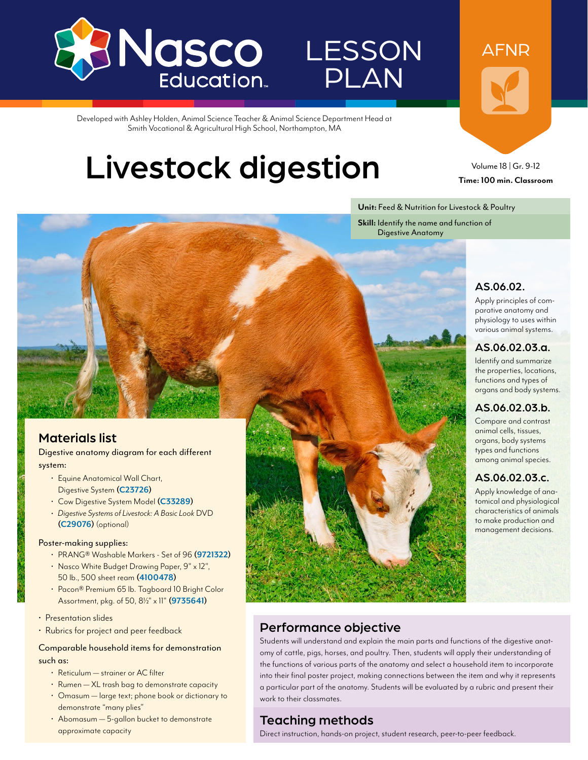

# **LESSON** PLAN

Developed with Ashley Holden, Animal Science Teacher & Animal Science Department Head at Smith Vocational & Agricultural High School, Northampton, MA

# Livestock digestion

Volume 18 | Gr. 9-12 **Time: 100 min. Classroom**

AFNR

**Unit:** Feed & Nutrition for Livestock & Poultry

**Skill:** Identify the name and function of Digestive Anatomy

## AS.06.02.

Apply principles of comparative anatomy and physiology to uses within various animal systems.

### AS.06.02.03.a.

Identify and summarize the properties, locations, functions and types of organs and body systems.

### AS.06.02.03.b.

Compare and contrast animal cells, tissues, organs, body systems types and functions among animal species.

### AS.06.02.03.c.

Apply knowledge of anatomical and physiological characteristics of animals to make production and management decisions.

## Materials list

Digestive anatomy diagram for each different system:

- Equine Anatomical Wall Chart, Digestive System **[\(C23726\)](http://www.enasco.com/p/C23726)**
- Cow Digestive System Model **[\(C33289](http://www.enasco.com/p/C33289))**
- *• Digestive Systems of Livestock: A Basic Look* DVD **[\(C29076\)](http://www.enasco.com/p/C29076)** (optional)

### Poster-making supplies:

- PRANG® Washable Markers Set of 96 **[\(9721322](http://www.enasco.com/p/9721322))**
- Nasco White Budget Drawing Paper, 9" x 12", 50 lb., 500 sheet ream **[\(4100478\)](http://www.enasco.com/p/4100478)**
- Pacon® Premium 65 lb. Tagboard 10 Bright Color Assortment, pkg. of 50, 81/2" x 11" **([9735641](http://www.enasco.com/p/9735641))**
- Presentation slides
- Rubrics for project and peer feedback

### Comparable household items for demonstration such as:

- Reticulum strainer or AC filter
- Rumen XL trash bag to demonstrate capacity
- Omasum large text; phone book or dictionary to demonstrate "many plies"
- Abomasum 5-gallon bucket to demonstrate approximate capacity



## Performance objective

Students will understand and explain the main parts and functions of the digestive anatomy of cattle, pigs, horses, and poultry. Then, students will apply their understanding of the functions of various parts of the anatomy and select a household item to incorporate into their final poster project, making connections between the item and why it represents a particular part of the anatomy. Students will be evaluated by a rubric and present their work to their classmates.

## Teaching methods

Direct instruction, hands-on project, student research, peer-to-peer feedback.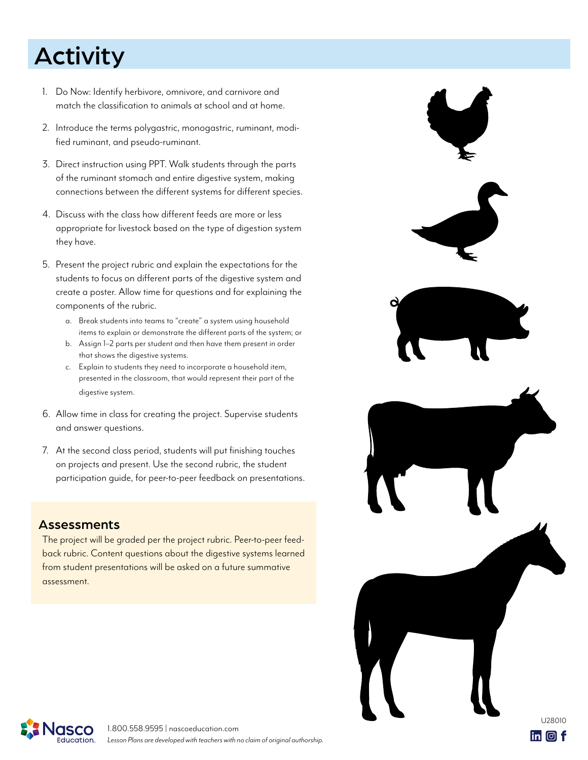# Activity

- 1. Do Now: Identify herbivore, omnivore, and carnivore and match the classification to animals at school and at home.
- 2. Introduce the terms polygastric, monogastric, ruminant, modified ruminant, and pseudo-ruminant.
- 3. Direct instruction using PPT. Walk students through the parts of the ruminant stomach and entire digestive system, making connections between the different systems for different species.
- 4. Discuss with the class how different feeds are more or less appropriate for livestock based on the type of digestion system they have.
- 5. Present the project rubric and explain the expectations for the students to focus on different parts of the digestive system and create a poster. Allow time for questions and for explaining the components of the rubric.
	- a. Break students into teams to "create" a system using household items to explain or demonstrate the different parts of the system; or
	- b. Assign 1–2 parts per student and then have them present in order that shows the digestive systems.
	- c. Explain to students they need to incorporate a household item, presented in the classroom, that would represent their part of the digestive system.
- 6. Allow time in class for creating the project. Supervise students and answer questions.
- 7. At the second class period, students will put finishing touches on projects and present. Use the second rubric, the student participation guide, for peer-to-peer feedback on presentations.

## Assessments

The project will be graded per the project rubric. Peer-to-peer feedback rubric. Content questions about the digestive systems learned from student presentations will be asked on a future summative assessment.



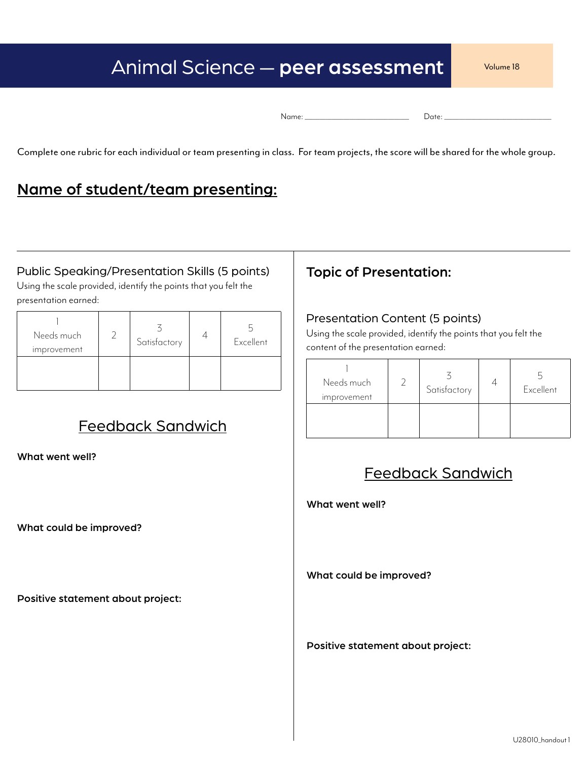## Animal Science — peer assessment Volume 18

Complete one rubric for each individual or team presenting in class. For team projects, the score will be shared for the whole group.

## Name of student/team presenting:

## Public Speaking/Presentation Skills (5 points) | Topic of Presentation:

Using the scale provided, identify the points that you felt the presentation earned:

| Needs much<br>improvement | Satisfactory | Excellent |
|---------------------------|--------------|-----------|
|                           |              |           |

## Feedback Sandwich

What went well?

What could be improved?

Positive statement about project:

### Presentation Content (5 points)

Using the scale provided, identify the points that you felt the content of the presentation earned:

| Needs much<br>improvement | Satisfactory | Excellent |
|---------------------------|--------------|-----------|
|                           |              |           |

## Feedback Sandwich

What went well?

What could be improved?

Positive statement about project: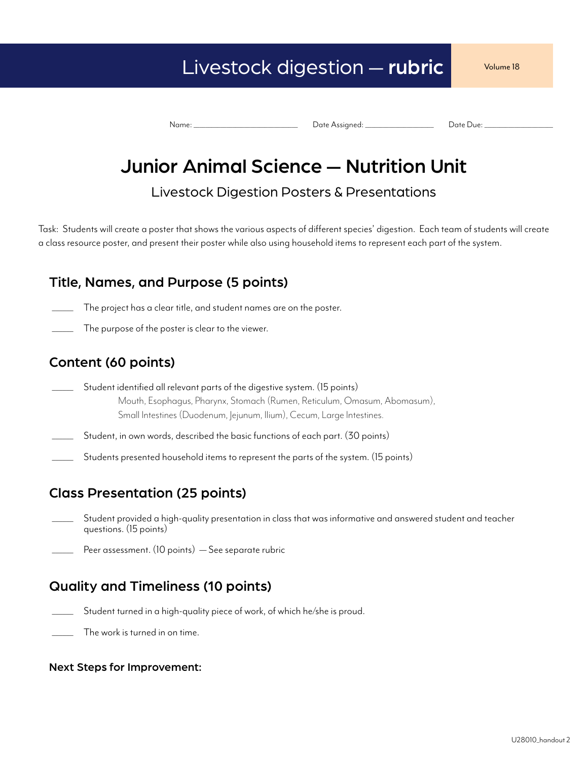## Livestock digestion — rubric volume 18

Name: \_\_\_\_\_\_\_\_\_\_\_\_\_\_\_\_\_\_\_\_\_\_\_\_\_\_\_\_\_\_\_\_\_\_\_ Date Assigned: \_\_\_\_\_\_\_\_\_\_\_\_\_\_\_\_\_\_\_\_\_\_\_ Date Due: \_\_\_\_\_\_\_\_\_\_\_\_\_\_\_\_\_\_\_\_\_\_\_

## Junior Animal Science — Nutrition Unit

Livestock Digestion Posters & Presentations

Task: Students will create a poster that shows the various aspects of different species' digestion. Each team of students will create a class resource poster, and present their poster while also using household items to represent each part of the system.

## Title, Names, and Purpose (5 points)

- The project has a clear title, and student names are on the poster.
- The purpose of the poster is clear to the viewer.

## Content (60 points)

- Student identified all relevant parts of the digestive system. (15 points) Mouth, Esophagus, Pharynx, Stomach (Rumen, Reticulum, Omasum, Abomasum), Small Intestines (Duodenum, Jejunum, Ilium), Cecum, Large Intestines.
- Student, in own words, described the basic functions of each part. (30 points)
- Students presented household items to represent the parts of the system. (15 points)

## Class Presentation (25 points)

- \_\_\_\_\_\_ Student provided a high-quality presentation in class that was informative and answered student and teacher questions. (15 points)
- Peer assessment. (10 points) See separate rubric

## Quality and Timeliness (10 points)

- Student turned in a high-quality piece of work, of which he/she is proud.
- The work is turned in on time.

### Next Steps for Improvement: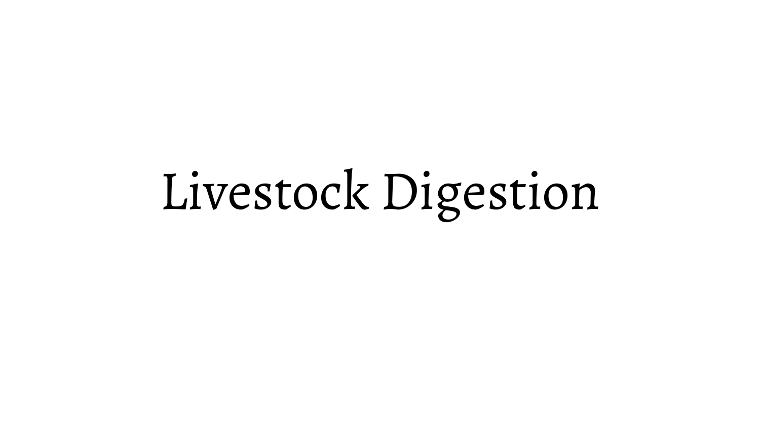# Livestock Digestion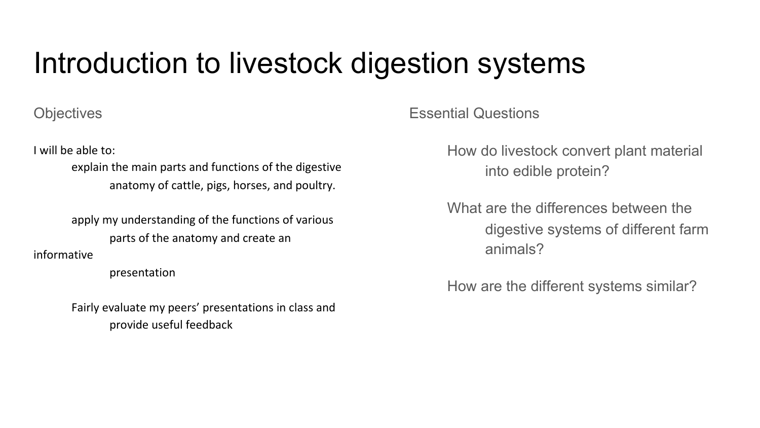# Introduction to livestock digestion systems

**Objectives** 

I will be able to:

explain the main parts and functions of the digestive anatomy of cattle, pigs, horses, and poultry.

apply my understanding of the functions of various parts of the anatomy and create an

informative

presentation

Fairly evaluate my peers' presentations in class and provide useful feedback

Essential Questions

How do livestock convert plant material into edible protein?

What are the differences between the digestive systems of different farm animals?

How are the different systems similar?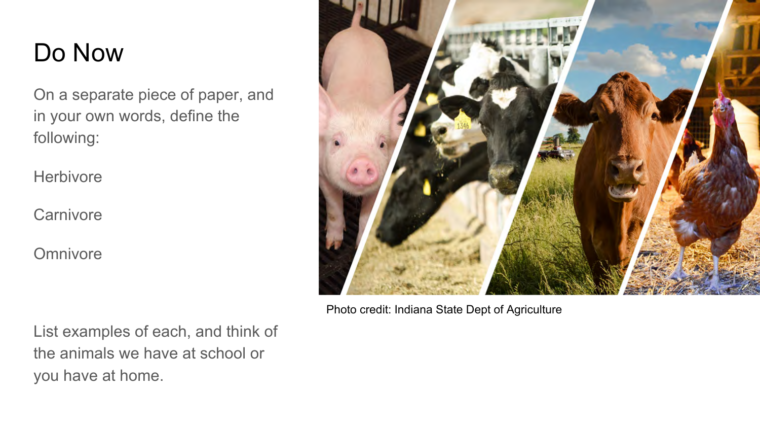## Do Now

On a separate piece of paper, and in your own words, define the following:

**Herbivore** 

**Carnivore** 

**Omnivore** 



Photo credit: Indiana State Dept of Agriculture

List examples of each, and think of the animals we have at school or you have at home.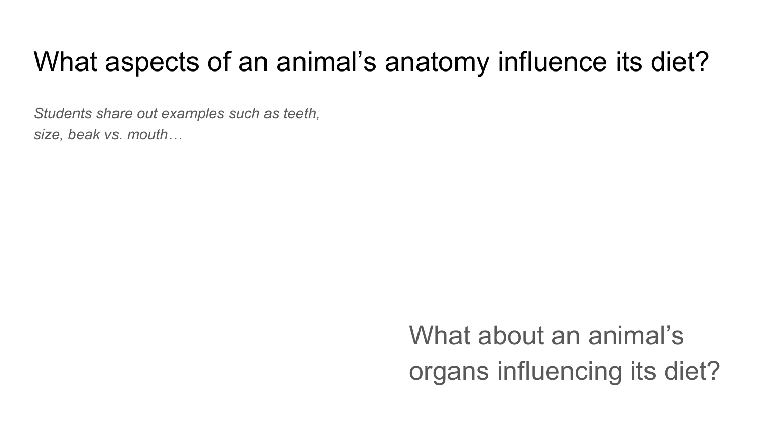# What aspects of an animal's anatomy influence its diet?

*Students share out examples such as teeth, size, beak vs. mouth…* 

> What about an animal's organs influencing its diet?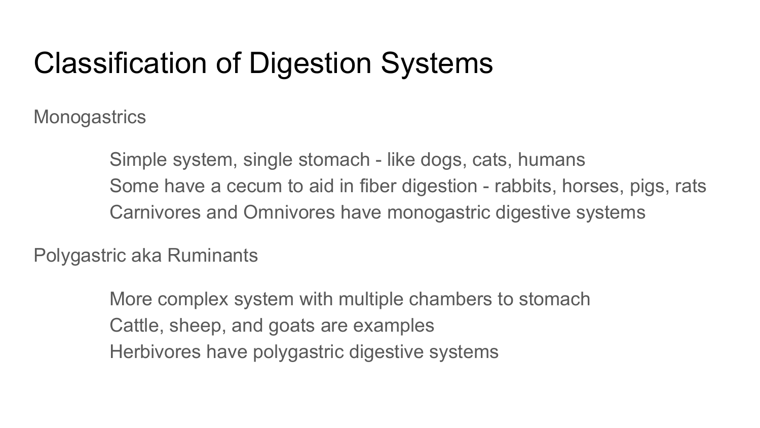# Classification of Digestion Systems

**Monogastrics** 

Simple system, single stomach - like dogs, cats, humans Some have a cecum to aid in fiber digestion - rabbits, horses, pigs, rats Carnivores and Omnivores have monogastric digestive systems

Polygastric aka Ruminants

More complex system with multiple chambers to stomach Cattle, sheep, and goats are examples Herbivores have polygastric digestive systems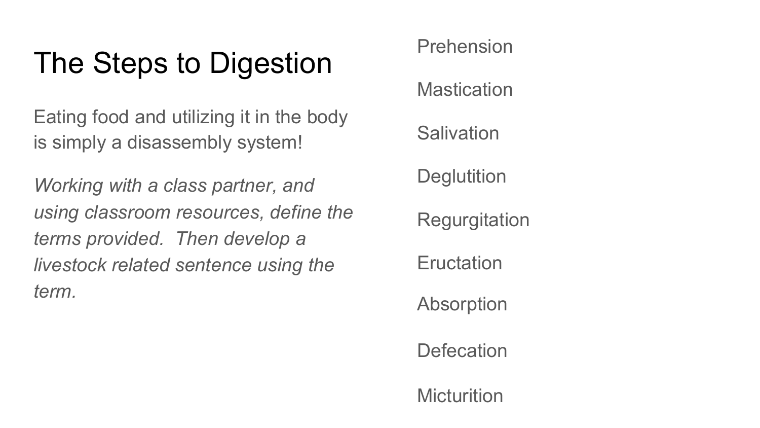# The Steps to Digestion

Eating food and utilizing it in the body is simply a disassembly system!

*Working with a class partner, and using classroom resources, define the terms provided. Then develop a livestock related sentence using the term.* 

Prehension

**Mastication** 

**Salivation** 

**Deglutition** 

**Regurgitation** 

**E**ructation

Absorption

**Defecation** 

**Micturition**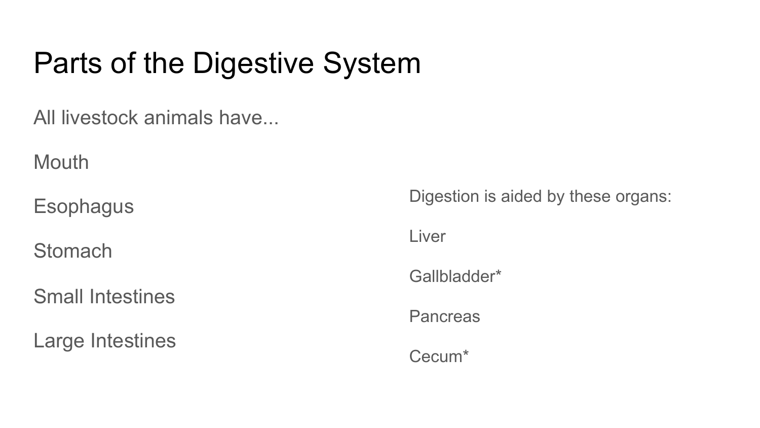# Parts of the Digestive System

All livestock animals have...

**Mouth** 

**Esophagus** 

**Stomach** 

Small Intestines

Large Intestines

Digestion is aided by these organs:

Liver

Gallbladder\*

**Pancreas** 

Cecum\*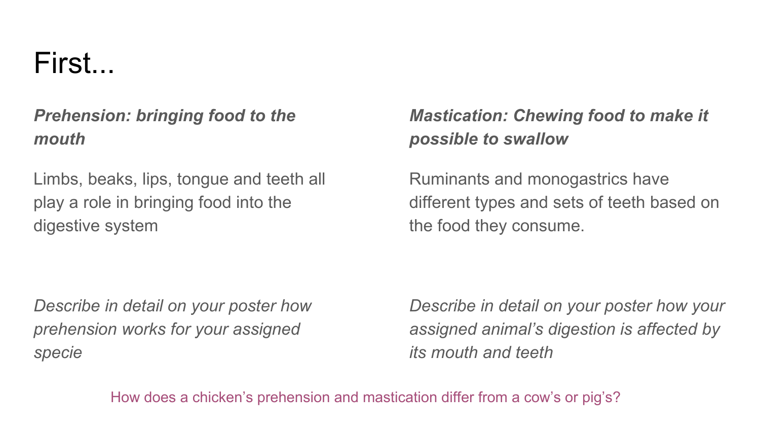# First...

## *Prehension: bringing food to the mouth*

Limbs, beaks, lips, tongue and teeth all play a role in bringing food into the digestive system

*Describe in detail on your poster how prehension works for your assigned specie*

## *Mastication: Chewing food to make it possible to swallow*

Ruminants and monogastrics have different types and sets of teeth based on the food they consume.

*Describe in detail on your poster how your assigned animal's digestion is affected by its mouth and teeth* 

How does a chicken's prehension and mastication differ from a cow's or pig's?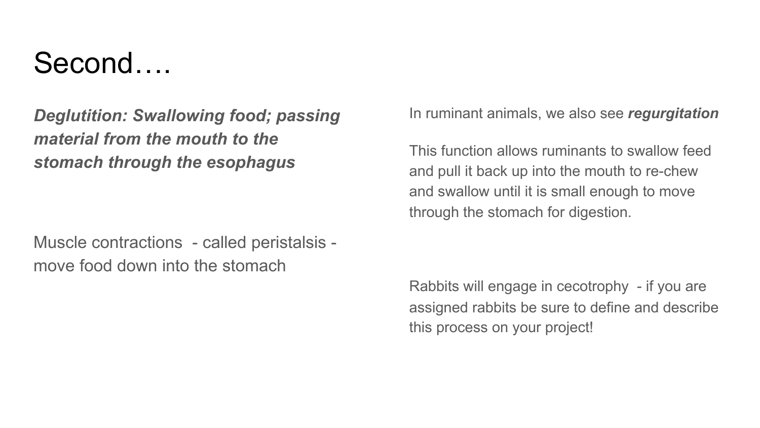# Second….

*Deglutition: Swallowing food; passing material from the mouth to the stomach through the esophagus* 

Muscle contractions - called peristalsis move food down into the stomach

In ruminant animals, we also see *regurgitation*

This function allows ruminants to swallow feed and pull it back up into the mouth to re-chew and swallow until it is small enough to move through the stomach for digestion.

Rabbits will engage in cecotrophy - if you are assigned rabbits be sure to define and describe this process on your project!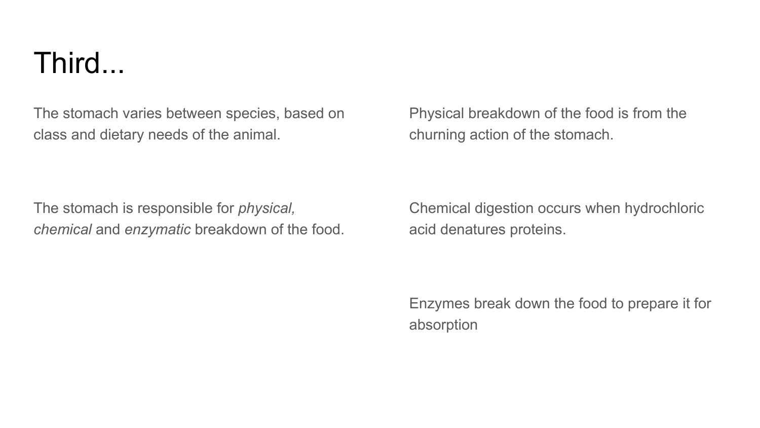# Third...

The stomach varies between species, based on class and dietary needs of the animal.

Physical breakdown of the food is from the churning action of the stomach.

The stomach is responsible for *physical, chemical* and *enzymatic* breakdown of the food. Chemical digestion occurs when hydrochloric acid denatures proteins.

Enzymes break down the food to prepare it for absorption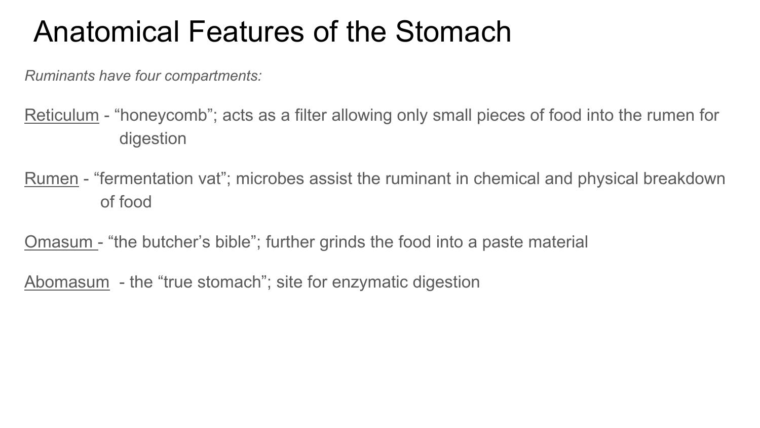# Anatomical Features of the Stomach

*Ruminants have four compartments:* 

Reticulum - "honeycomb"; acts as a filter allowing only small pieces of food into the rumen for digestion

Rumen - "fermentation vat"; microbes assist the ruminant in chemical and physical breakdown of food

Omasum - "the butcher's bible"; further grinds the food into a paste material

Abomasum - the "true stomach"; site for enzymatic digestion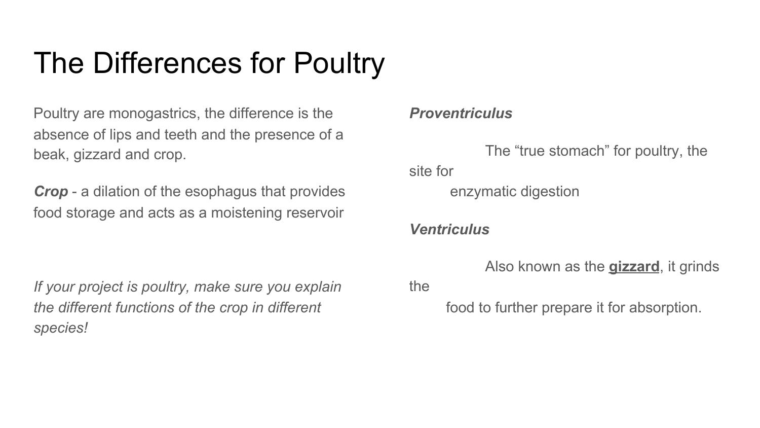# The Differences for Poultry

Poultry are monogastrics, the difference is the absence of lips and teeth and the presence of a beak, gizzard and crop.

*Crop* - a dilation of the esophagus that provides food storage and acts as a moistening reservoir

*If your project is poultry, make sure you explain the different functions of the crop in different species!* 

## *Proventriculus*

The "true stomach" for poultry, the site for enzymatic digestion

## *Ventriculus*

Also known as the **gizzard**, it grinds

the

food to further prepare it for absorption.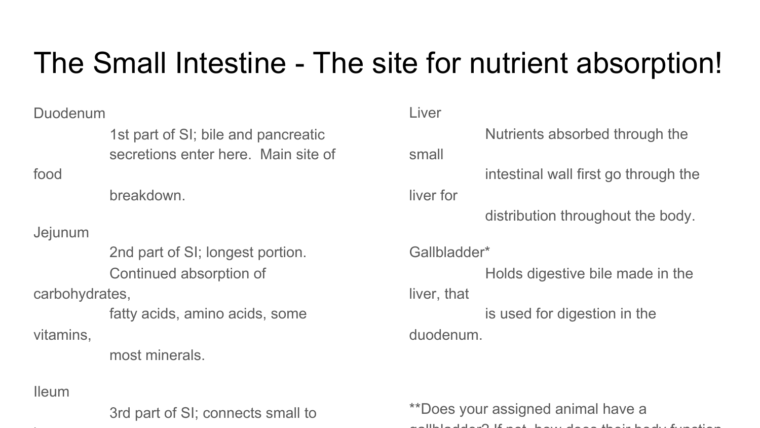# The Small Intestine - The site for nutrient absorption!

| Duodenum                         |                                     | Liver        |                                      |  |
|----------------------------------|-------------------------------------|--------------|--------------------------------------|--|
|                                  | 1st part of SI; bile and pancreatic |              | Nutrients absorbed through the       |  |
|                                  | secretions enter here. Main site of | small        |                                      |  |
| food                             |                                     |              | intestinal wall first go through the |  |
|                                  | breakdown.                          | liver for    |                                      |  |
|                                  |                                     |              | distribution throughout the body.    |  |
| Jejunum                          |                                     |              |                                      |  |
| 2nd part of SI; longest portion. |                                     | Gallbladder* |                                      |  |
|                                  | Continued absorption of             |              | Holds digestive bile made in the     |  |
| carbohydrates,                   |                                     | liver, that  |                                      |  |
|                                  | fatty acids, amino acids, some      |              | is used for digestion in the         |  |
| vitamins,                        |                                     | duodenum.    |                                      |  |
|                                  | most minerals.                      |              |                                      |  |

Ileum

3rd part of SI; connects small to

\*\*Does your assigned animal have a gallbladder? If not, how does their body function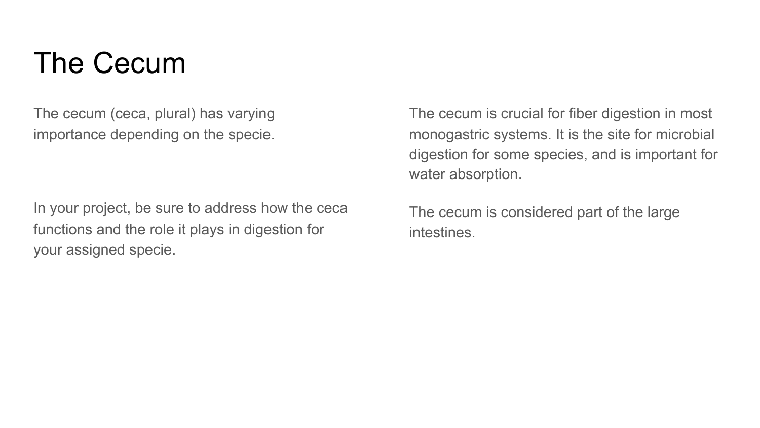# The Cecum

The cecum (ceca, plural) has varying importance depending on the specie.

In your project, be sure to address how the ceca functions and the role it plays in digestion for your assigned specie.

The cecum is crucial for fiber digestion in most monogastric systems. It is the site for microbial digestion for some species, and is important for water absorption.

The cecum is considered part of the large intestines.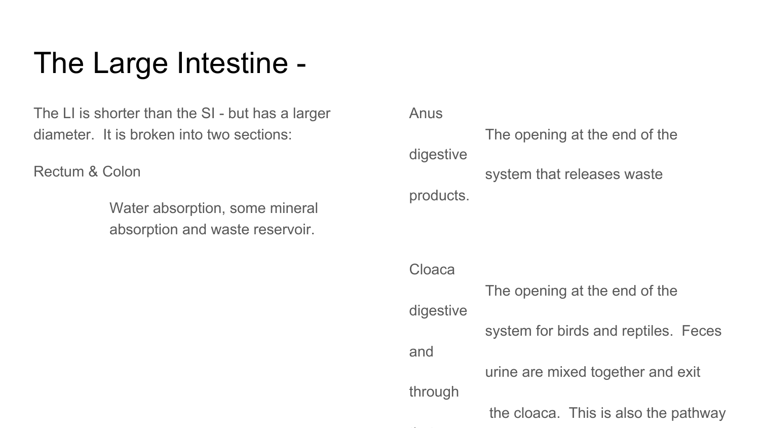# The Large Intestine -

The LI is shorter than the SI - but has a larger diameter. It is broken into two sections:

Rectum & Colon

Water absorption, some mineral absorption and waste reservoir.

Anus The opening at the end of the digestive system that releases waste

products.

Cloaca The opening at the end of the digestive system for birds and reptiles. Feces and urine are mixed together and exit through the cloaca. This is also the pathway

that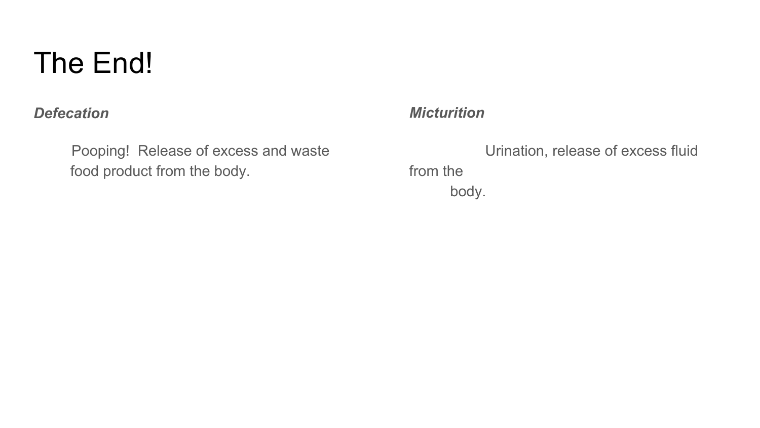# The End!

## *Defecation*

Pooping! Release of excess and waste food product from the body.

## *Micturition*

Urination, release of excess fluid from the body.